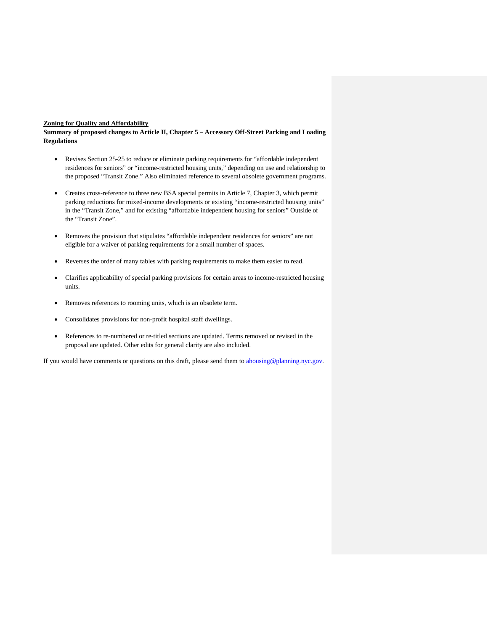#### **Zoning for Quality and Affordability**

**Summary of proposed changes to Article II, Chapter 5 – Accessory Off-Street Parking and Loading Regulations**

- Revises Section 25-25 to reduce or eliminate parking requirements for "affordable independent residences for seniors" or "income-restricted housing units," depending on use and relationship to the proposed "Transit Zone." Also eliminated reference to several obsolete government programs.
- Creates cross-reference to three new BSA special permits in Article 7, Chapter 3, which permit parking reductions for mixed-income developments or existing "income-restricted housing units" in the "Transit Zone," and for existing "affordable independent housing for seniors" Outside of the "Transit Zone".
- Removes the provision that stipulates "affordable independent residences for seniors" are not eligible for a waiver of parking requirements for a small number of spaces.
- Reverses the order of many tables with parking requirements to make them easier to read.
- Clarifies applicability of special parking provisions for certain areas to income-restricted housing units.
- Removes references to rooming units, which is an obsolete term.
- Consolidates provisions for non-profit hospital staff dwellings.
- References to re-numbered or re-titled sections are updated. Terms removed or revised in the proposal are updated. Other edits for general clarity are also included.

If you would have comments or questions on this draft, please send them to **ahousing@planning.nyc.gov**.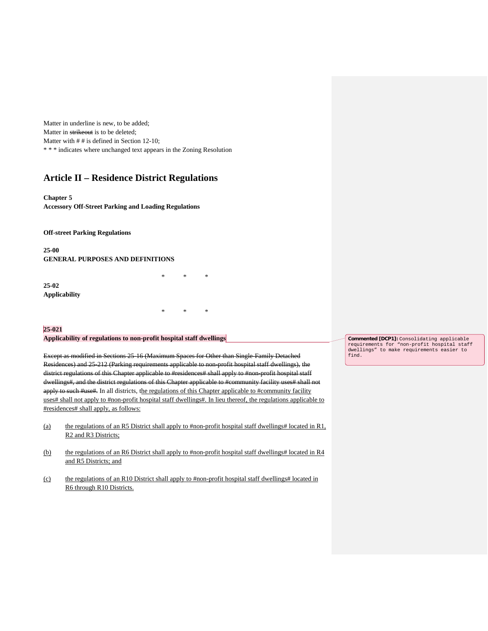Matter in underline is new, to be added; Matter in strikeout is to be deleted; Matter with  $# #$  is defined in Section 12-10; \* \* \* indicates where unchanged text appears in the Zoning Resolution

# **Article II – Residence District Regulations**

#### **Chapter 5**

**Accessory Off-Street Parking and Loading Regulations**

**Off-street Parking Regulations**

**25-00 GENERAL PURPOSES AND DEFINITIONS**

**25-02 Applicability**

### **25-021**

#### **Applicability of regulations to non-profit hospital staff dwellings**

Except as modified in Sections 25-16 (Maximum Spaces for Other than Single-Family Detached Residences) and 25-212 (Parking requirements applicable to non-profit hospital staff dwellings), the district regulations of this Chapter applicable to #residences# shall apply to #non-profit hospital staff dwellings#, and the district regulations of this Chapter applicable to #community facility uses# shall not apply to such #use#. In all districts, the regulations of this Chapter applicable to #community facility uses# shall not apply to #non-profit hospital staff dwellings#. In lieu thereof, the regulations applicable to #residences# shall apply, as follows:

\* \* \*

\* \* \*

- (a) the regulations of an R5 District shall apply to #non-profit hospital staff dwellings# located in R1, R2 and R3 Districts;
- (b) the regulations of an R6 District shall apply to #non-profit hospital staff dwellings# located in R4 and R5 Districts; and
- (c) the regulations of an R10 District shall apply to #non-profit hospital staff dwellings# located in R6 through R10 Districts.

**Commented [DCP1]:** Consolidating applicable requirements for "non-profit hospital staff dwellings" to make requirements easier to find.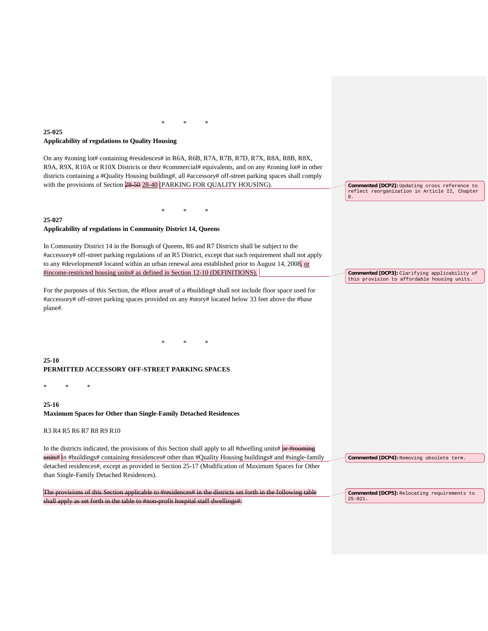### **25-025 Applicability of regulations to Quality Housing**

On any #zoning lot# containing #residences# in R6A, R6B, R7A, R7B, R7D, R7X, R8A, R8B, R8X, R9A, R9X, R10A or R10X Districts or their #commercial# equivalents, and on any #zoning lot# in other districts containing a #Quality Housing building#, all #accessory# off-street parking spaces shall comply with the provisions of Section 28-50 28-40 (PARKING FOR QUALITY HOUSING).

\* \* \*

\* \* \*

#### **25-027**

#### **Applicability of regulations in Community District 14, Queens**

In Community District 14 in the Borough of Queens, R6 and R7 Districts shall be subject to the #accessory# off-street parking regulations of an R5 District, except that such requirement shall not apply to any #development# located within an urban renewal area established prior to August 14, 2008, or #income-restricted housing units# as defined in Section 12-10 (DEFINITIONS).

For the purposes of this Section, the #floor area# of a #building# shall not include floor space used for #accessory# off-street parking spaces provided on any #story# located below 33 feet above the #base plane#.

\* \* \*

**Commented [DCP2]:** Updating cross reference to reflect reorganization in Article II, Chapter 8.

**Commented [DCP3]:** Clarifying applicability of this provision to affordable housing units.

**25-10 PERMITTED ACCESSORY OFF-STREET PARKING SPACES**

\* \* \*

**25-16 Maximum Spaces for Other than Single-Family Detached Residences**

R3 R4 R5 R6 R7 R8 R9 R10

In the districts indicated, the provisions of this Section shall apply to all #dwelling units#  $or$  #rooming units# in #buildings# containing #residences# other than #Quality Housing buildings# and #single-family detached residences#, except as provided in Section 25-17 (Modification of Maximum Spaces for Other than Single-Family Detached Residences).

The provisions of this Section applicable to #residences# in the districts set forth in the following table shall apply as set forth in the table to #non-profit hospital staff dwellings#:

**Commented [DCP4]:** Removing obsolete term.

**Commented [DCP5]:** Relocating requirements to  $25 - 021$ .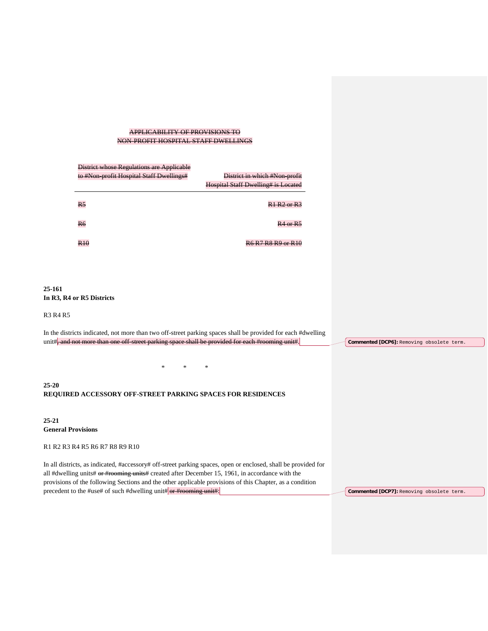### APPLICABILITY OF PROVISIONS TO NON-PROFIT HOSPITAL STAFF DWELLINGS

| District whose Regulations are Applicable |                                            |
|-------------------------------------------|--------------------------------------------|
| to #Non-profit Hospital Staff Dwellings#  | District in which #Non-profit              |
|                                           | <b>Hospital Staff Dwelling# is Located</b> |
| R <sub>5</sub>                            | $R1 R2$ or $R3$                            |
| R <sub>6</sub>                            | $R4$ or $R$ .                              |
| D 1 C                                     |                                            |

### **25-161 In R3, R4 or R5 Districts**

R3 R4 R5

In the districts indicated, not more than two off-street parking spaces shall be provided for each #dwelling unit#, and not more than one off-street parking space shall be provided for each #rooming unit#. \* \* \* **25-20 REQUIRED ACCESSORY OFF-STREET PARKING SPACES FOR RESIDENCES 25-21 General Provisions** R1 R2 R3 R4 R5 R6 R7 R8 R9 R10 In all districts, as indicated, #accessory# off-street parking spaces, open or enclosed, shall be provided for all #dwelling units# or #rooming units# created after December 15, 1961, in accordance with the provisions of the following Sections and the other applicable provisions of this Chapter, as a condition **Commented [DCP6]:** Removing obsolete term.

precedent to the #use# of such #dwelling unit# or #rooming unit#:

**Commented [DCP7]:** Removing obsolete term.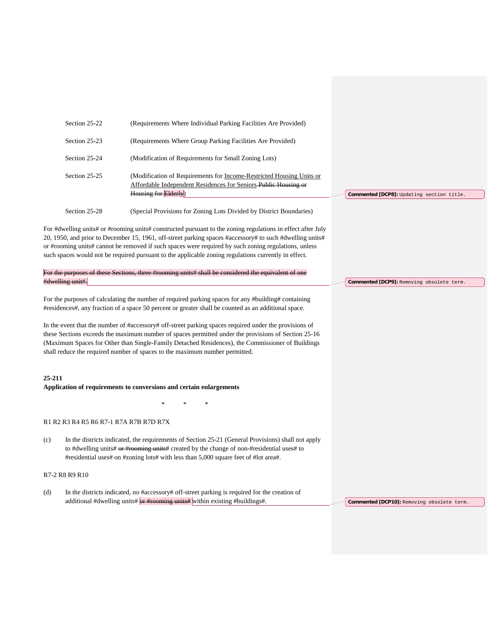|                                                                                                                                                                                                                                                                                               | Section 25-22                          | (Requirements Where Individual Parking Facilities Are Provided)                                                                                                                                                                                                                                                                                                                                                                                                                                                                                                                                                 |                                            |
|-----------------------------------------------------------------------------------------------------------------------------------------------------------------------------------------------------------------------------------------------------------------------------------------------|----------------------------------------|-----------------------------------------------------------------------------------------------------------------------------------------------------------------------------------------------------------------------------------------------------------------------------------------------------------------------------------------------------------------------------------------------------------------------------------------------------------------------------------------------------------------------------------------------------------------------------------------------------------------|--------------------------------------------|
|                                                                                                                                                                                                                                                                                               | Section 25-23                          | (Requirements Where Group Parking Facilities Are Provided)                                                                                                                                                                                                                                                                                                                                                                                                                                                                                                                                                      |                                            |
|                                                                                                                                                                                                                                                                                               | Section 25-24                          | (Modification of Requirements for Small Zoning Lots)                                                                                                                                                                                                                                                                                                                                                                                                                                                                                                                                                            |                                            |
|                                                                                                                                                                                                                                                                                               | Section 25-25                          | (Modification of Requirements for <u>Income-Restricted Housing Units or</u><br>Affordable Independent Residences for Seniors-Public Housing or<br>Housing for Elderly)                                                                                                                                                                                                                                                                                                                                                                                                                                          | Commented [DCP8]: Updating section title.  |
|                                                                                                                                                                                                                                                                                               | Section 25-28                          | (Special Provisions for Zoning Lots Divided by District Boundaries)                                                                                                                                                                                                                                                                                                                                                                                                                                                                                                                                             |                                            |
|                                                                                                                                                                                                                                                                                               |                                        | For #dwelling units# or #rooming units# constructed pursuant to the zoning regulations in effect after July<br>20, 1950, and prior to December 15, 1961, off-street parking spaces #accessory# to such #dwelling units#<br>or #rooming units# cannot be removed if such spaces were required by such zoning regulations, unless<br>such spaces would not be required pursuant to the applicable zoning regulations currently in effect.                                                                                                                                                                         |                                            |
|                                                                                                                                                                                                                                                                                               | #dwelling unit#.                       | For the purposes of these Sections, three #rooming units# shall be considered the equivalent of one                                                                                                                                                                                                                                                                                                                                                                                                                                                                                                             | Commented [DCP9]: Removing obsolete term.  |
|                                                                                                                                                                                                                                                                                               |                                        | For the purposes of calculating the number of required parking spaces for any #building# containing<br>#residences#, any fraction of a space 50 percent or greater shall be counted as an additional space.<br>In the event that the number of #accessory# off-street parking spaces required under the provisions of<br>these Sections exceeds the maximum number of spaces permitted under the provisions of Section 25-16<br>(Maximum Spaces for Other than Single-Family Detached Residences), the Commissioner of Buildings<br>shall reduce the required number of spaces to the maximum number permitted. |                                            |
| 25-211                                                                                                                                                                                                                                                                                        |                                        | Application of requirements to conversions and certain enlargements                                                                                                                                                                                                                                                                                                                                                                                                                                                                                                                                             |                                            |
|                                                                                                                                                                                                                                                                                               |                                        |                                                                                                                                                                                                                                                                                                                                                                                                                                                                                                                                                                                                                 |                                            |
|                                                                                                                                                                                                                                                                                               | R1 R2 R3 R4 R5 R6 R7-1 R7A R7B R7D R7X |                                                                                                                                                                                                                                                                                                                                                                                                                                                                                                                                                                                                                 |                                            |
| In the districts indicated, the requirements of Section 25-21 (General Provisions) shall not apply<br>(c)<br>to #dwelling units# or #rooming units# created by the change of non-#residential uses# to<br>#residential uses# on #zoning lots# with less than 5,000 square feet of #lot area#. |                                        |                                                                                                                                                                                                                                                                                                                                                                                                                                                                                                                                                                                                                 |                                            |
|                                                                                                                                                                                                                                                                                               | R7-2 R8 R9 R10                         |                                                                                                                                                                                                                                                                                                                                                                                                                                                                                                                                                                                                                 |                                            |
| (d)                                                                                                                                                                                                                                                                                           |                                        | In the districts indicated, no #accessory# off-street parking is required for the creation of<br>additional #dwelling units# or #rooming units# within existing #buildings#.                                                                                                                                                                                                                                                                                                                                                                                                                                    | Commented [DCP10]: Removing obsolete term. |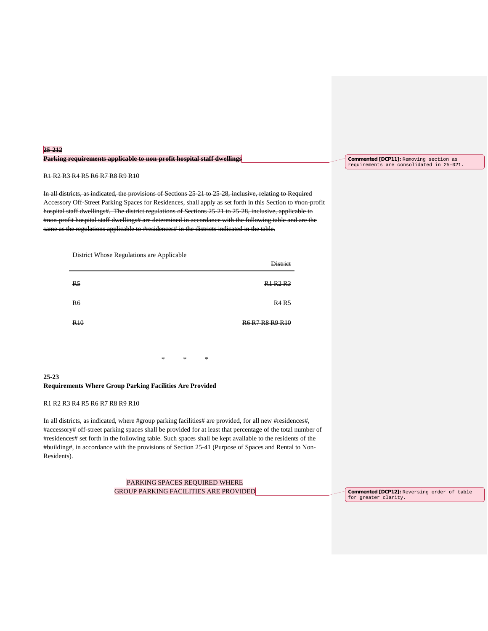| 25-212                                                                                                                                                    |  |  |
|-----------------------------------------------------------------------------------------------------------------------------------------------------------|--|--|
| Parking requirements applicable to non-profit bosnitel staff dwellings<br><u>r armine requirements applicable to holi-profit hospital stari-aweinings</u> |  |  |

#### R1 R2 R3 R4 R5 R6 R7 R8 R9 R10

In all districts, as indicated, the provisions of Sections 25-21 to 25-28, inclusive, relating to Required Accessory Off-Street Parking Spaces for Residences, shall apply as set forth in this Section to #non-profit hospital staff dwellings#. The district regulations of Sections 25-21 to 25-28, inclusive, applicable to #non-profit hospital staff dwellings# are determined in accordance with the following table and are the same as the regulations applicable to #residences# in the districts indicated in the table.



|                       | ັ | . . | <b>District</b> |
|-----------------------|---|-----|-----------------|
| R <sub>5</sub>        |   |     | R1 R2 R3        |
| R <sub>6</sub>        |   |     | <b>R4 R5</b>    |
| <b>R<sub>10</sub></b> |   |     | R6 R7 R8 R9 R10 |
|                       |   |     |                 |

\* \* \*

**25-23 Requirements Where Group Parking Facilities Are Provided**

#### R1 R2 R3 R4 R5 R6 R7 R8 R9 R10

In all districts, as indicated, where #group parking facilities# are provided, for all new #residences#, #accessory# off-street parking spaces shall be provided for at least that percentage of the total number of #residences# set forth in the following table. Such spaces shall be kept available to the residents of the #building#, in accordance with the provisions of Section 25-41 (Purpose of Spaces and Rental to Non-Residents).

> PARKING SPACES REQUIRED WHERE GROUP PARKING FACILITIES ARE PROVIDED

**Commented [DCP11]:** Removing section as requirements are consolidated in 25-021.

**Commented [DCP12]:** Reversing order of table for greater clarity.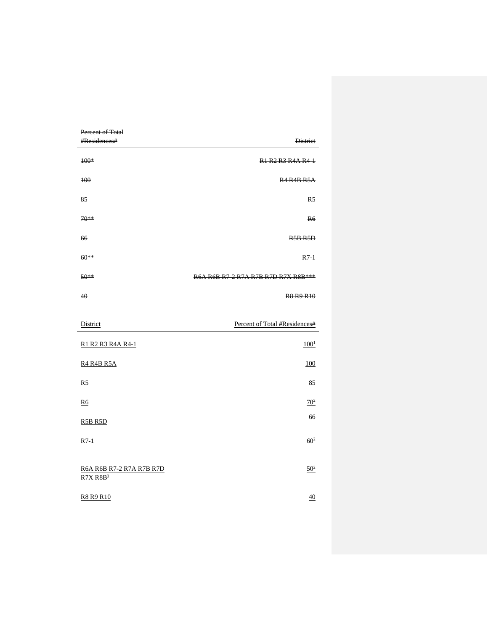| Percent of Total         |                                     |
|--------------------------|-------------------------------------|
| #Residences#             | <b>District</b>                     |
| $100*$                   | R1 R2 R3 R4A R4-1                   |
| 100                      | <b>R4 R4B R5A</b>                   |
| 85                       | R <sub>5</sub>                      |
| 70**                     | R <sub>6</sub>                      |
| 66                       | <b>R5B R5D</b>                      |
| $60**$                   | $R7-1$                              |
| 50**                     | R6A R6B R7 2 R7A R7B R7D R7X R8B*** |
| 40                       | <b>R8 R9 R10</b>                    |
| District                 | Percent of Total #Residences#       |
| R1 R2 R3 R4A R4-1        | $100^{1}$                           |
| <b>R4 R4B R5A</b>        | <b>100</b>                          |
| R <sub>5</sub>           | 85                                  |
| <b>R6</b>                | $70^{2}$                            |
| R5B R5D                  | 66                                  |
| $R7-1$                   | $60^{2}$                            |
| R6A R6B R7-2 R7A R7B R7D | $50^{2}$                            |

**R8 R9 R10** 40

 $R7X R8B<sup>3</sup>$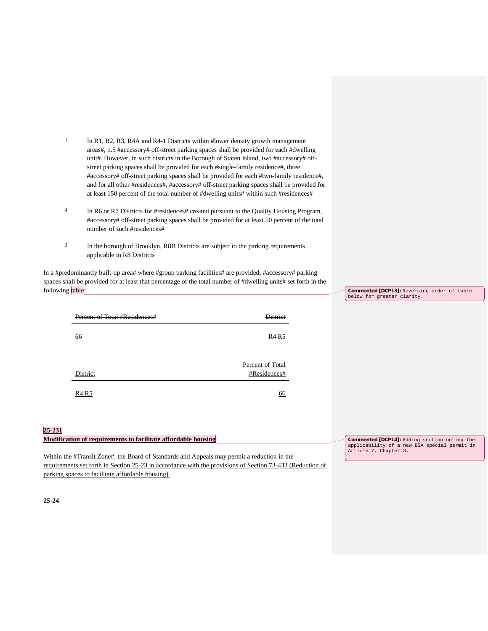- <sup>1</sup> In R1, R2, R3, R4A and R4-1 Districts within #lower density growth management areas#, 1.5 #accessory# off-street parking spaces shall be provided for each #dwelling unit#. However, in such districts in the Borough of Staten Island, two #accessory# offstreet parking spaces shall be provided for each #single-family residence#, three #accessory# off-street parking spaces shall be provided for each #two-family residence#, and for all other #residences#, #accessory# off-street parking spaces shall be provided for at least 150 percent of the total number of #dwelling units# within such #residences#
- <sup>2</sup> In R6 or R7 Districts for #residences# created pursuant to the Quality Housing Program, #accessory# off-street parking spaces shall be provided for at least 50 percent of the total number of such #residences#
- <sup>3</sup> In the borough of Brooklyn, R8B Districts are subject to the parking requirements applicable in R8 Districts

In a #predominantly built-up area# where #group parking facilities# are provided, #accessory# parking spaces shall be provided for at least that percentage of the total number of #dwelling units# set forth in the following table:

| Percent of Total #Residences# | <b>District</b>                  |
|-------------------------------|----------------------------------|
|                               |                                  |
| 66                            | R4R5                             |
|                               |                                  |
|                               |                                  |
| District                      | Percent of Total<br>#Residences# |
|                               |                                  |
| R4R5                          | <u>66</u>                        |
|                               |                                  |
|                               |                                  |

**Commented [DCP13]:** Reversing order of table

# **25-231**

| Modification of requirements to facilitate affordable housing                                             | Commented [DCP14]: Adding section noting the |
|-----------------------------------------------------------------------------------------------------------|----------------------------------------------|
|                                                                                                           | applicability of a new BSA special permit in |
|                                                                                                           | Article 7, Chapter 3.                        |
| Within the #Transit Zone#, the Board of Standards and Appeals may permit a reduction in the               |                                              |
| requirements set forth in Section 25-23 in accordance with the provisions of Section 73-433 (Reduction of |                                              |
| parking spaces to facilitate affordable housing).                                                         |                                              |

**25-24**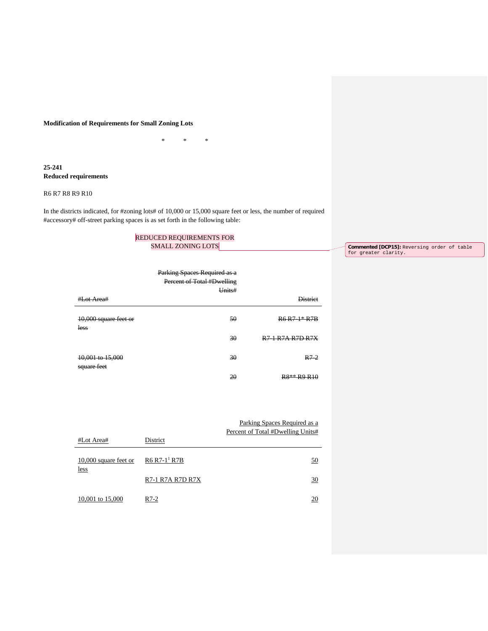#### **Modification of Requirements for Small Zoning Lots**

\* \* \*

### **25-241 Reduced requirements**

#### R6 R7 R8 R9 R10

In the districts indicated, for #zoning lots# of 10,000 or 15,000 square feet or less, the number of required #accessory# off-street parking spaces is as set forth in the following table:

### REDUCED REQUIREMENTS FOR SMALL ZONING LOTS

#Lot Area# Parking Spaces Required as a Percent of Total #Dwelling Units# **District** 10,000 square feet or less 50 R6 R7-1\* R7B 30 R7-1 R7A R7D R7X 10,001 to 15,000 square feet 30 R7-2

20 R8\*\* R9 R10

#Lot Area# District Parking Spaces Required as a Percent of Total #Dwelling Units# 10,000 square feet or less  $R6 R7-11 R7B$  50 R7-1 R7A R7D R7X 30 10,001 to 15,000 R7-2 20 **Commented [DCP15]:** Reversing order of table for greater clarity.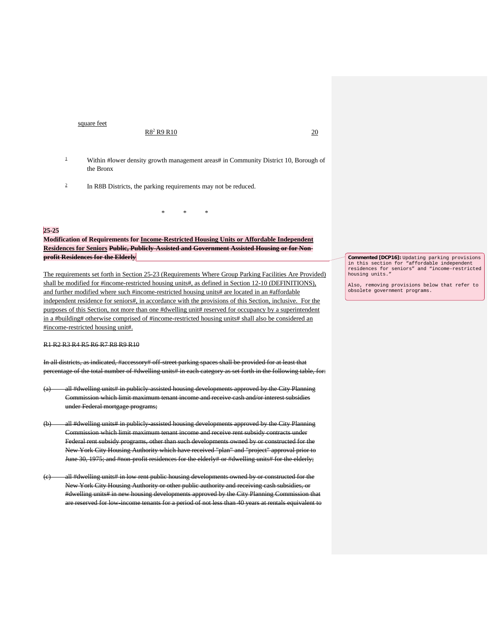square feet

#### $R8^2 R9 R10$  20

- 
- <sup>1</sup> Within #lower density growth management areas# in Community District 10, Borough of the Bronx
- <sup>2</sup> In R8B Districts, the parking requirements may not be reduced.

# **25-25**

**Modification of Requirements for Income-Restricted Housing Units or Affordable Independent Residences for Seniors Public, Publicly-Assisted and Government Assisted Housing or for Nonprofit Residences for the Elderly**

\* \* \*

The requirements set forth in Section 25-23 (Requirements Where Group Parking Facilities Are Provided) shall be modified for #income-restricted housing units#, as defined in Section 12-10 (DEFINITIONS), and further modified where such #income-restricted housing units# are located in an #affordable independent residence for seniors#, in accordance with the provisions of this Section, inclusive. For the purposes of this Section, not more than one #dwelling unit# reserved for occupancy by a superintendent in a #building# otherwise comprised of #income-restricted housing units# shall also be considered an #income-restricted housing unit#.

R1 R2 R3 R4 R5 R6 R7 R8 R9 R10

In all districts, as indicated, #accessory# off-street parking spaces shall be provided for at least that percentage of the total number of #dwelling units# in each category as set forth in the following table, for:

- (a) all #dwelling units# in publicly-assisted housing developments approved by the City Planning Commission which limit maximum tenant income and receive cash and/or interest subsidies under Federal mortgage programs;
- (b) all #dwelling units# in publicly-assisted housing developments approved by the City Planning Commission which limit maximum tenant income and receive rent subsidy contracts under Federal rent subsidy programs, other than such developments owned by or constructed for the New York City Housing Authority which have received "plan" and "project" approval prior to June 30, 1975; and #non-profit residences for the elderly# or #dwelling units# for the elderly;
- all #dwelling units# in low rent public housing developments owned by or constructed for the New York City Housing Authority or other public authority and receiving cash subsidies, or #dwelling units# in new housing developments approved by the City Planning Commission that are reserved for low-income tenants for a period of not less than 40 years at rentals equivalent to

**Commented [DCP16]:** Updating parking provisions in this section for "affordable independent residences for seniors" and "income-restricted housing units."

Also, removing provisions below that refer to obsolete government programs.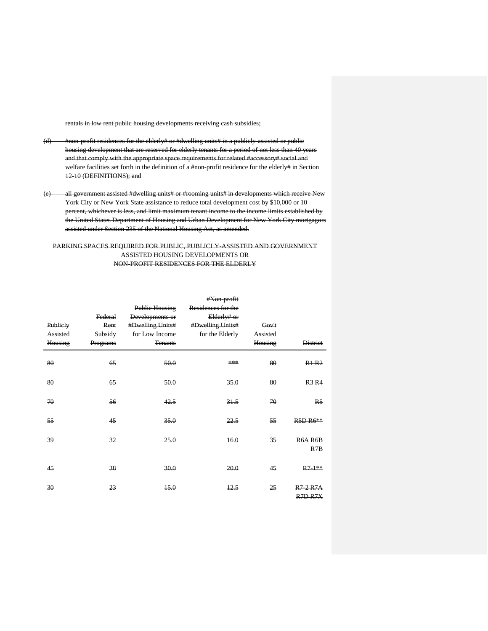rentals in low rent public housing developments receiving cash subsidies;

- (d) #non-profit residences for the elderly# or #dwelling units# in a publicly-assisted or public housing development that are reserved for elderly tenants for a period of not less than 40 years and that comply with the appropriate space requirements for related #accessory# social and welfare facilities set forth in the definition of a #non-profit residence for the elderly# in Section 12-10 (DEFINITIONS); and
- (e) all government assisted #dwelling units# or #rooming units# in developments which receive New York City or New York State assistance to reduce total development cost by \$10,000 or 10 percent, whichever is less, and limit maximum tenant income to the income limits established by the United States Department of Housing and Urban Development for New York City mortgagors assisted under Section 235 of the National Housing Act, as amended.

### PARKING SPACES REQUIRED FOR PUBLIC, PUBLICLY-ASSISTED AND GOVERNMENT ASSISTED HOUSING DEVELOPMENTS OR NON-PROFIT RESIDENCES FOR THE ELDERLY

| Publiely<br>Assisted<br>Housing | Federal<br>Rent<br>Subsidy<br>Programs | <b>Public Housing</b><br>Developments or<br>#Dwelling Units#<br>for Low Income<br><b>Tenants</b> | #Non-profit<br>Residences for the<br>Elderly# or<br>#Dwelling Units#<br>for the Elderly | Gov't<br>Assisted<br>Housing | <b>District</b>                              |
|---------------------------------|----------------------------------------|--------------------------------------------------------------------------------------------------|-----------------------------------------------------------------------------------------|------------------------------|----------------------------------------------|
| 80                              | 65                                     | 50.0                                                                                             | ***                                                                                     | 80                           | R1R2                                         |
| 80                              | 65                                     | 50.0                                                                                             | 35.0                                                                                    | 80                           | <b>R3 R4</b>                                 |
| 70                              | 56                                     | 42.5                                                                                             | 31.5                                                                                    | 70                           | R <sub>5</sub>                               |
| 55                              | 45                                     | 35.0                                                                                             | 22.5                                                                                    | 55                           | <b>R5D R6**</b>                              |
| 39                              | 32                                     | 25.0                                                                                             | 16.0                                                                                    | 35                           | R6A R6B<br>R7B                               |
| 45                              | 38                                     | 30.0                                                                                             | 20.0                                                                                    | 45                           | $R7 + 1$ **                                  |
| 30                              | 23                                     | 15.0                                                                                             | 12.5                                                                                    | 25                           | R7 2 R7A<br>R <sub>7</sub> D <sub>R7</sub> X |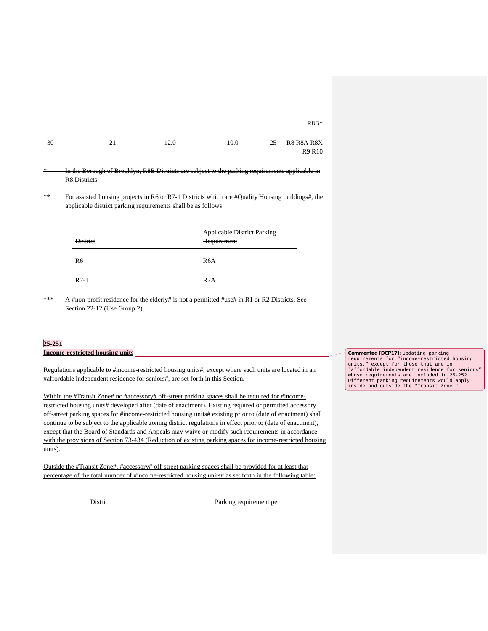R8B\*

| -30    | 21                                                                                                                     | 12.0 | 40.0 | 25 | R8 R8A R8X<br><b>R9 R10</b> |
|--------|------------------------------------------------------------------------------------------------------------------------|------|------|----|-----------------------------|
| $\ast$ | In the Borough of Brooklyn, R8B Districts are subject to the parking requirements applicable in<br><b>R8 Districts</b> |      |      |    |                             |
| $**$   | For assisted housing projects in R6 or R7 1 Districts which are #Ouality Housing buildings# the                        |      |      |    |                             |

\*\* For assisted housing projects in R6 or R7-1 Districts which are #Quality Housing buildings#, the applicable district parking requirements shall be as follows:

| <b>District</b> | <b>Applicable District Parking</b><br>Requirement |
|-----------------|---------------------------------------------------|
| <b>R6</b>       | R6A                                               |
| $R7-1$          | D7A<br>$\cdots$                                   |

#non-profit residence for the elderly# is not a permitted #use# in R1 or R2 Districts. See Section 22-12 (Use Group 2)

## **25-251**

|  |  | <b>Income-restricted housing units</b> |  |
|--|--|----------------------------------------|--|
|--|--|----------------------------------------|--|

Regulations applicable to #income-restricted housing units#, except where such units are located in an #affordable independent residence for seniors#, are set forth in this Section**.** 

Within the #Transit Zone# no #accessory# off-street parking spaces shall be required for #incomerestricted housing units# developed after (date of enactment). Existing required or permitted accessory off-street parking spaces for #income-restricted housing units# existing prior to (date of enactment) shall continue to be subject to the applicable zoning district regulations in effect prior to (date of enactment), except that the Board of Standards and Appeals may waive or modify such requirements in accordance with the provisions of Section 73-434 (Reduction of existing parking spaces for income-restricted housing units).

Outside the #Transit Zone#, #accessory# off-street parking spaces shall be provided for at least that percentage of the total number of #income-restricted housing units# as set forth in the following table:

District Parking requirement per

**Commented [DCP17]:** Updating parking requirements for "income-restricted housing units," except for those that are in "affordable independent residence for seniors" whose requirements are included in 25-252. Different parking requirements would apply inside and outside the "Transit Zone."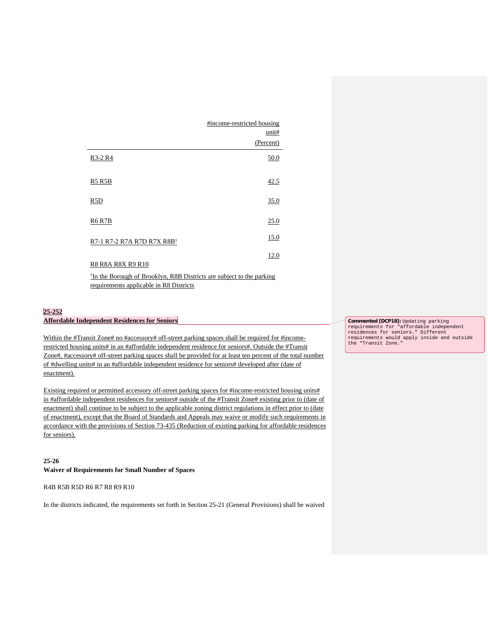|                                                                                                                              | #income-restricted housing |
|------------------------------------------------------------------------------------------------------------------------------|----------------------------|
|                                                                                                                              | unit#                      |
|                                                                                                                              | (Percent)                  |
| R3-2 R4                                                                                                                      | 50.0                       |
| R5 R5B                                                                                                                       | 42.5                       |
| R5D                                                                                                                          | 35.0                       |
| <b>R6 R7B</b>                                                                                                                | 25.0                       |
| R7-1 R7-2 R7A R7D R7X R8B <sup>1</sup>                                                                                       | 15.0                       |
| R8 R8A R8X R9 R10                                                                                                            | 12.0                       |
| <sup>1</sup> In the Borough of Brooklyn, R8B Districts are subject to the parking<br>requirements applicable in R8 Districts |                            |

### **25-252 Affordable Independent Residences for Seniors**

Within the #Transit Zone# no #accessory# off-street parking spaces shall be required for #incomerestricted housing units# in an #affordable independent residence for seniors#. Outside the #Transit Zone#, #accessory# off-street parking spaces shall be provided for at least ten percent of the total number of #dwelling units# in an #affordable independent residence for seniors# developed after (date of enactment).

Existing required or permitted accessory off-street parking spaces for #income-restricted housing units# in #affordable independent residences for seniors# outside of the #Transit Zone# existing prior to (date of enactment) shall continue to be subject to the applicable zoning district regulations in effect prior to (date of enactment), except that the Board of Standards and Appeals may waive or modify such requirements in accordance with the provisions of Section 73-435 (Reduction of existing parking for affordable residences for seniors).

### **25-26**

**Waiver of Requirements for Small Number of Spaces**

R4B R5B R5D R6 R7 R8 R9 R10

In the districts indicated, the requirements set forth in Section 25-21 (General Provisions) shall be waived

**Commented [DCP18]:** Updating parking requirements for "affordable independent residences for seniors." Different requirements would apply inside and outside the "Transit Zone."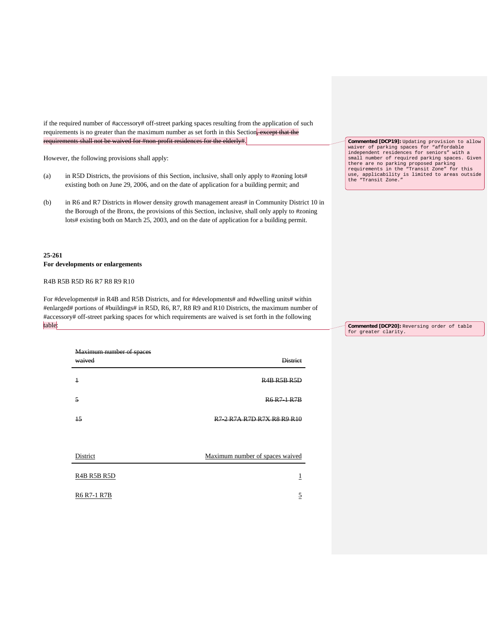if the required number of #accessory# off-street parking spaces resulting from the application of such requirements is no greater than the maximum number as set forth in this Section, except that the requirements shall not be waived for #non-profit residences for the elderly#.

However, the following provisions shall apply:

- (a) in R5D Districts, the provisions of this Section, inclusive, shall only apply to #zoning lots# existing both on June 29, 2006, and on the date of application for a building permit; and
- (b) in R6 and R7 Districts in #lower density growth management areas# in Community District 10 in the Borough of the Bronx, the provisions of this Section, inclusive, shall only apply to #zoning lots# existing both on March 25, 2003, and on the date of application for a building permit.

# **25-261 For developments or enlargements**

R4B R5B R5D R6 R7 R8 R9 R10

For #developments# in R4B and R5B Districts, and for #developments# and #dwelling units# within #enlarged# portions of #buildings# in R5D, R6, R7, R8 R9 and R10 Districts, the maximum number of #accessory# off-street parking spaces for which requirements are waived is set forth in the following table:

| Maximum number of spaces<br>waived | <b>District</b>                                                                                                   |
|------------------------------------|-------------------------------------------------------------------------------------------------------------------|
| $\overline{1}$                     | R <sub>4</sub> B R <sub>5</sub> B R <sub>5</sub> D                                                                |
| 5                                  | <b>R6 R7-1 R7B</b>                                                                                                |
| $\overline{15}$                    | R <sub>7</sub> 2 R <sub>7</sub> A R <sub>7</sub> D R <sub>7</sub> X R <sub>8</sub> R <sub>9</sub> R <sub>10</sub> |
|                                    |                                                                                                                   |
| District                           | Maximum number of spaces waived                                                                                   |
| R4B R5B R5D                        |                                                                                                                   |
| <b>R6 R7-1 R7B</b>                 | 5                                                                                                                 |

**Commented [DCP19]**: Updating provision to allow waiver of parking spaces for "affordable independent residences for seniors" with a small number of required parking spaces. Given there are no parking proposed parking requirements in the "Transit Zone" for this use, applicability is limited to areas outside the "Transit Zone."

**Commented [DCP20]:** Reversing order of table for greater clarity.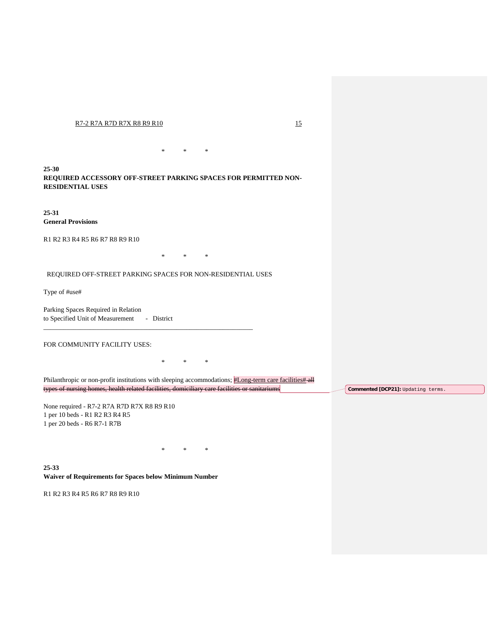#### R7-2 R7A R7D R7X R8 R9 R10 15

**25-30 REQUIRED ACCESSORY OFF-STREET PARKING SPACES FOR PERMITTED NON-RESIDENTIAL USES**

\* \* \*

**25-31 General Provisions**

R1 R2 R3 R4 R5 R6 R7 R8 R9 R10

\* \* \*

REQUIRED OFF-STREET PARKING SPACES FOR NON-RESIDENTIAL USES

\_\_\_\_\_\_\_\_\_\_\_\_\_\_\_\_\_\_\_\_\_\_\_\_\_\_\_\_\_\_\_\_\_\_\_\_\_\_\_\_\_\_\_\_\_\_\_\_\_\_\_\_\_\_\_\_\_\_\_\_\_\_\_

Type of #use#

Parking Spaces Required in Relation to Specified Unit of Measurement - District

FOR COMMUNITY FACILITY USES:

\* \* \*

Philanthropic or non-profit institutions with sleeping accommodations; #Long-term care facilities # all types of nursing homes, health related facilities, domiciliary care facilities or sanitariums

\* \* \*

None required - R7-2 R7A R7D R7X R8 R9 R10 1 per 10 beds - R1 R2 R3 R4 R5 1 per 20 beds - R6 R7-1 R7B

**25-33 Waiver of Requirements for Spaces below Minimum Number**

R1 R2 R3 R4 R5 R6 R7 R8 R9 R10

**Commented [DCP21]:** Updating terms.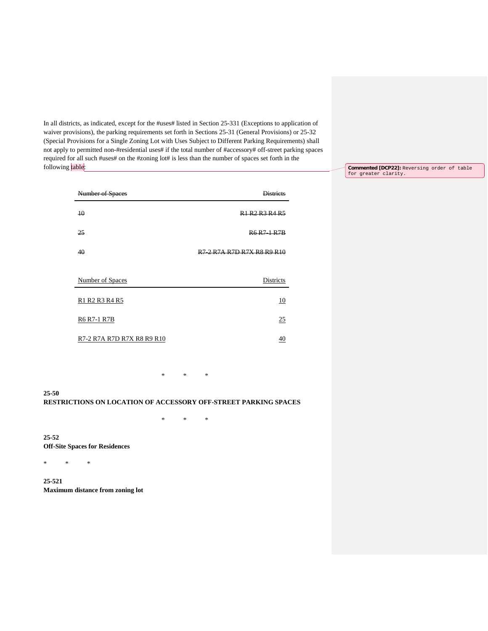In all districts, as indicated, except for the #uses# listed in Section 25-331 (Exceptions to application of waiver provisions), the parking requirements set forth in Sections 25-31 (General Provisions) or 25-32 (Special Provisions for a Single Zoning Lot with Uses Subject to Different Parking Requirements) shall not apply to permitted non-#residential uses# if the total number of #accessory# off-street parking spaces required for all such #uses# on the #zoning lot# is less than the number of spaces set forth in the following table:

> Number of Spaces **Districts** 10 R1 R2 R3 R4 R5 25 R6 R7-1 R7B 40 R7-2 R7A R7D R7X R8 R9 R10 Number of Spaces Districts R1 R2 R3 R4 R5 10 R6 R7-1 R7B 25 R7-2 R7A R7D R7X R8 R9 R10 40

> > \* \* \*

\* \* \*

**25-50 RESTRICTIONS ON LOCATION OF ACCESSORY OFF-STREET PARKING SPACES**

**25-52 Off-Site Spaces for Residences**

\* \* \*

**25-521 Maximum distance from zoning lot** **Commented [DCP22]:** Reversing order of table for greater clarity.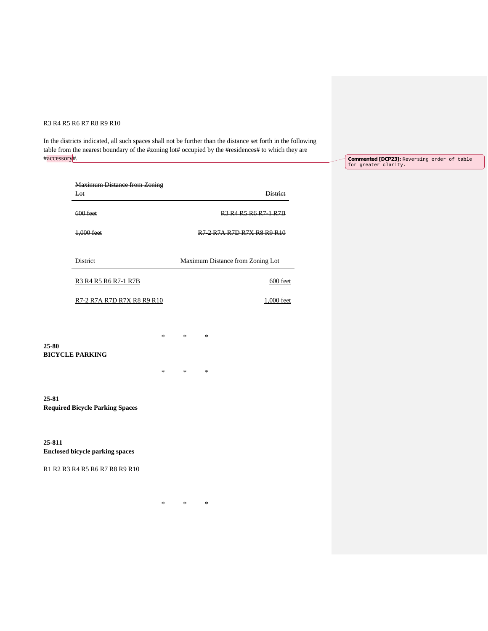## R3 R4 R5 R6 R7 R8 R9 R10

In the districts indicated, all such spaces shall not be further than the distance set forth in the following table from the nearest boundary of the #zoning lot# occupied by the #residences# to which they are #accessory#.

**Commented [DCP23]:** Reversing order of table for greater clarity.

|                                | <b>Maximum Distance from Zoning</b>    |        |        |                                                                                                                   |                                                                                               |                 |
|--------------------------------|----------------------------------------|--------|--------|-------------------------------------------------------------------------------------------------------------------|-----------------------------------------------------------------------------------------------|-----------------|
|                                | Lot                                    |        |        |                                                                                                                   |                                                                                               | <b>District</b> |
|                                | 600 feet                               |        |        |                                                                                                                   | R <sub>3</sub> R <sub>4</sub> R <sub>5</sub> R <sub>6</sub> R <sub>7</sub> 1 R <sub>7</sub> B |                 |
|                                | 1,000 feet                             |        |        | R <sub>7</sub> 2 R <sub>7</sub> A R <sub>7</sub> D R <sub>7</sub> X R <sub>8</sub> R <sub>9</sub> R <sub>10</sub> |                                                                                               |                 |
|                                | District                               |        |        | <b>Maximum Distance from Zoning Lot</b>                                                                           |                                                                                               |                 |
|                                | R3 R4 R5 R6 R7-1 R7B                   |        |        |                                                                                                                   |                                                                                               | 600 feet        |
|                                | R7-2 R7A R7D R7X R8 R9 R10             |        |        |                                                                                                                   |                                                                                               | 1,000 feet      |
| 25-80                          |                                        | $\ast$ | $\ast$ | $\ast$                                                                                                            |                                                                                               |                 |
|                                | <b>BICYCLE PARKING</b>                 | $\ast$ | $\ast$ | $\ast$                                                                                                            |                                                                                               |                 |
| 25-81                          | <b>Required Bicycle Parking Spaces</b> |        |        |                                                                                                                   |                                                                                               |                 |
| 25-811                         | <b>Enclosed bicycle parking spaces</b> |        |        |                                                                                                                   |                                                                                               |                 |
| R1 R2 R3 R4 R5 R6 R7 R8 R9 R10 |                                        |        |        |                                                                                                                   |                                                                                               |                 |
|                                |                                        | *      | $\ast$ | $\ast$                                                                                                            |                                                                                               |                 |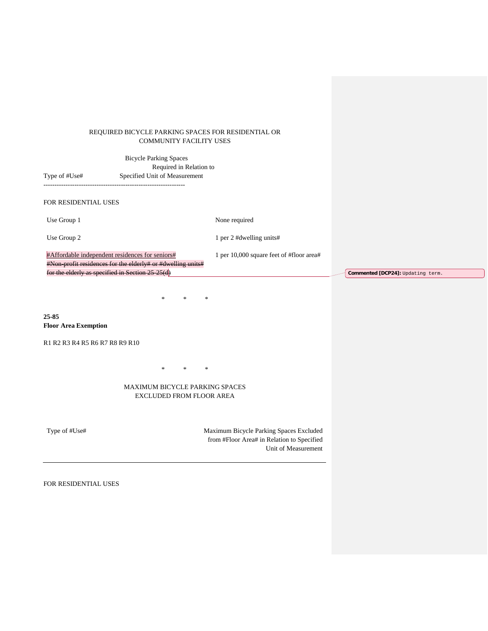### REQUIRED BICYCLE PARKING SPACES FOR RESIDENTIAL OR COMMUNITY FACILITY USES

| Type of #Use#                                                                                          | <b>Bicycle Parking Spaces</b><br>Required in Relation to<br>Specified Unit of Measurement |                                          |                             |
|--------------------------------------------------------------------------------------------------------|-------------------------------------------------------------------------------------------|------------------------------------------|-----------------------------|
| FOR RESIDENTIAL USES                                                                                   |                                                                                           |                                          |                             |
| Use Group 1                                                                                            |                                                                                           | None required                            |                             |
| Use Group 2                                                                                            |                                                                                           | 1 per 2 #dwelling units#                 |                             |
| #Affordable independent residences for seniors#<br>for the elderly as specified in Section $25\,25(d)$ | #Non-profit residences for the elderly# or #dwelling units#                               | 1 per 10,000 square feet of #floor area# | Commented [DCP24]: Updating |
|                                                                                                        | $\ast$<br>$\ast$<br>$\ast$                                                                |                                          |                             |
| 25-85<br><b>Floor Area Exemption</b>                                                                   |                                                                                           |                                          |                             |
| R1 R2 R3 R4 R5 R6 R7 R8 R9 R10                                                                         |                                                                                           |                                          |                             |
|                                                                                                        | *<br>$\ast$<br>$\ast$                                                                     |                                          |                             |

term.

## MAXIMUM BICYCLE PARKING SPACES EXCLUDED FROM FLOOR AREA

Type of #Use# Maximum Bicycle Parking Spaces Excluded from #Floor Area# in Relation to Specified Unit of Measurement

FOR RESIDENTIAL USES